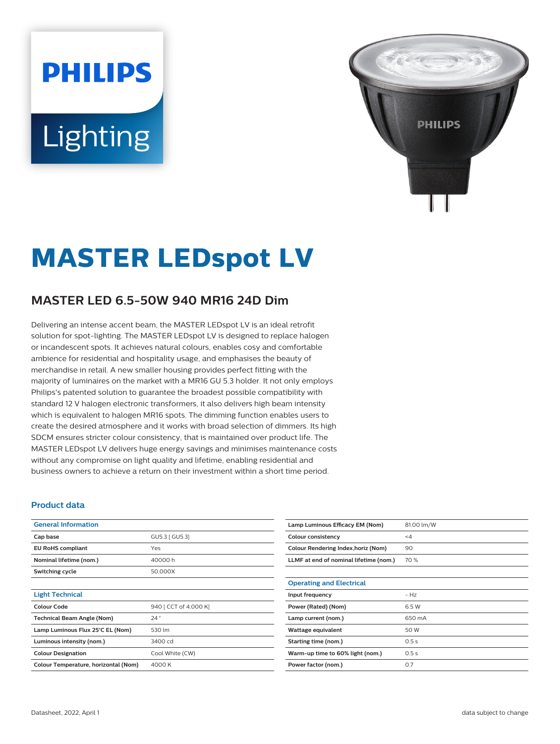# **PHILIPS** Lighting



## **MASTER LEDspot LV**

### **MASTER LED 6.5-50W 940 MR16 24D Dim**

Delivering an intense accent beam, the MASTER LEDspot LV is an ideal retrofit solution for spot-lighting. The MASTER LEDspot LV is designed to replace halogen or incandescent spots. It achieves natural colours, enables cosy and comfortable ambience for residential and hospitality usage, and emphasises the beauty of merchandise in retail. A new smaller housing provides perfect fitting with the majority of luminaires on the market with a MR16 GU 5.3 holder. It not only employs Philips's patented solution to guarantee the broadest possible compatibility with standard 12 V halogen electronic transformers, it also delivers high beam intensity which is equivalent to halogen MR16 spots. The dimming function enables users to create the desired atmosphere and it works with broad selection of dimmers. Its high SDCM ensures stricter colour consistency, that is maintained over product life. The MASTER LEDspot LV delivers huge energy savings and minimises maintenance costs without any compromise on light quality and lifetime, enabling residential and business owners to achieve a return on their investment within a short time period.

#### **Product data**

| <b>General Information</b>           |                       |  |  |
|--------------------------------------|-----------------------|--|--|
| Cap base                             | GU5.3 [ GU5.3]        |  |  |
| <b>EU RoHS compliant</b>             | Yes                   |  |  |
| Nominal lifetime (nom.)              | 40000 h               |  |  |
| Switching cycle                      | 50,000X               |  |  |
|                                      |                       |  |  |
| <b>Light Technical</b>               |                       |  |  |
| Colour Code                          | 940 [ CCT of 4,000 K] |  |  |
| <b>Technical Beam Angle (Nom)</b>    | 24°                   |  |  |
| Lamp Luminous Flux 25°C EL (Nom)     | 530 lm                |  |  |
| Luminous intensity (nom.)            | 3400 cd               |  |  |
| <b>Colour Designation</b>            | Cool White (CW)       |  |  |
| Colour Temperature, horizontal (Nom) | 4000 K                |  |  |

| Lamp Luminous Efficacy EM (Nom)        | 81.00 lm/W |
|----------------------------------------|------------|
| <b>Colour consistency</b>              | <4         |
| Colour Rendering Index, horiz (Nom)    | 90         |
| LLMF at end of nominal lifetime (nom.) | 70 %       |
|                                        |            |
| <b>Operating and Electrical</b>        |            |
| Input frequency                        | $- Hz$     |
| Power (Rated) (Nom)                    | 6.5 W      |
| Lamp current (nom.)                    | 650 mA     |
| Wattage equivalent                     | 50 W       |
| Starting time (nom.)                   | 0.5s       |
| Warm-up time to 60% light (nom.)       | 0.5s       |
| Power factor (nom.)                    | 0.7        |
|                                        |            |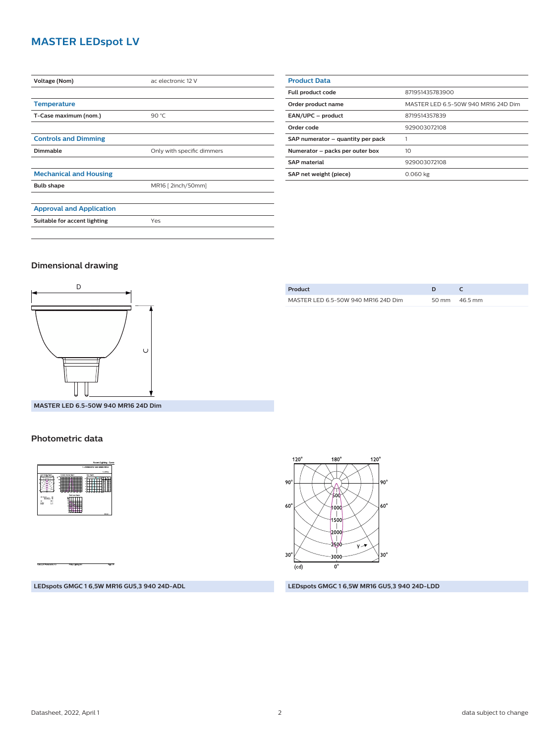#### **MASTER LEDspot LV**

| Voltage (Nom)                   | ac electronic 12 V         |  |  |
|---------------------------------|----------------------------|--|--|
|                                 |                            |  |  |
| <b>Temperature</b>              |                            |  |  |
| T-Case maximum (nom.)           | 90 $°C$                    |  |  |
|                                 |                            |  |  |
| <b>Controls and Dimming</b>     |                            |  |  |
| Dimmable                        | Only with specific dimmers |  |  |
|                                 |                            |  |  |
| <b>Mechanical and Housing</b>   |                            |  |  |
| <b>Bulb shape</b>               | MR16 [ 2inch/50mm]         |  |  |
|                                 |                            |  |  |
| <b>Approval and Application</b> |                            |  |  |
| Suitable for accent lighting    | Yes                        |  |  |
|                                 |                            |  |  |

| <b>Product Data</b>               |                                     |  |  |
|-----------------------------------|-------------------------------------|--|--|
| Full product code                 | 871951435783900                     |  |  |
| Order product name                | MASTER LED 6.5-50W 940 MR16 24D Dim |  |  |
| EAN/UPC - product                 | 8719514357839                       |  |  |
| Order code                        | 929003072108                        |  |  |
| SAP numerator - quantity per pack |                                     |  |  |
| Numerator - packs per outer box   | 10                                  |  |  |
| <b>SAP material</b>               | 929003072108                        |  |  |
| SAP net weight (piece)            | 0.060 kg                            |  |  |

#### **Dimensional drawing**



| Product                             |                 |
|-------------------------------------|-----------------|
| MASTER LED 6.5-50W 940 MR16 24D Dim | 50 mm $46.5$ mm |
|                                     |                 |

**MASTER LED 6.5-50W 940 MR16 24D Dim**

#### **Photometric data**





#### **LEDspots GMGC 1 6,5W MR16 GU5,3 940 24D-ADL LEDspots GMGC 1 6,5W MR16 GU5,3 940 24D-LDD**